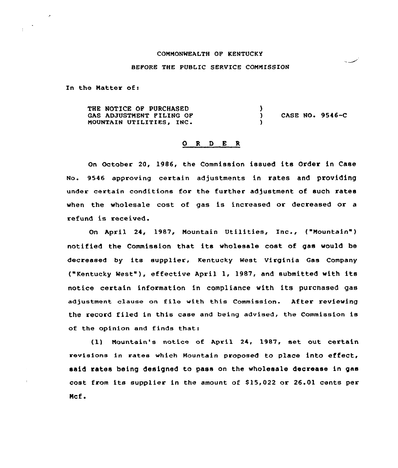## COMMONWEALTH OF KENTUCKY

## BEFORE THE PUBLIC SERVICE COMMISSION

In the Natter of:

 $\epsilon$ 

THE NOTICE OF PURCHASED GAS ADJUSTMENT FILING OF MOUNTAIN UTILITIES, INC )<br>) ) CASE NO. 9546-C )

#### 0 <sup>R</sup> <sup>D</sup> E <sup>R</sup>

On October 20, 1986, the Commission issued its Order in Case No. 9546 approving certain adjustments in rates and providing under certain conditions for the further adjustment of such rates when the wholesale cost of gas is increased or decreased or a refund is received.

On April 24, 1987, Mountain Utilities, Inc., ("Mountain") notified the Commission that its wholesale cost of gas would be decreased by its supplier, Kentucky West Virginia Gas Company ("Kentucky West"), effective April 1, 1987, and submitted with its notice certain information in compliance with its purchased gas adjustment. clause on file with this Commission. After reviewing the record filed in this case and being advised, the Commission is of the opinion and finds that:

(1) Mountain's notice of April 24, 1987, set out certain revisions in rates which Mountain proposed to place into effect, said rates being designed to pass on the wholesale decrease in gas cost from its supplier in the amount of 815,022 or 26.01 cents per Ncf.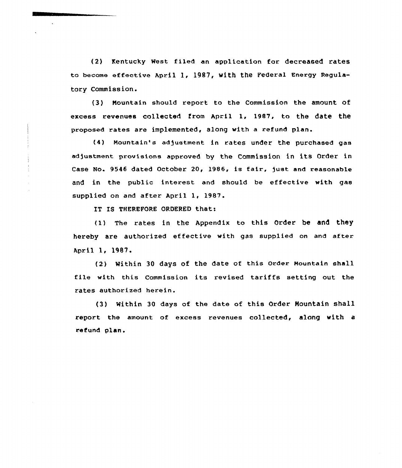(2) Kentucky West filed an application for decreased rates to become effective April 1, 1987, with the Federal Energy Regulatory Commission.

(3) Mountain should report to the Commission the amount of excess revenues collected from Apri1 1, 1987, to the date the proposed rates are implemented, along with a refund plan.

(4) Mountain's adjustment in rates under the purchased gas adjustment provisions approved by the Commission in its Order in Case No. 9546 dated October 20, 1986, is fair, fust and reasonable and in the public interest and should be effective with gas supplied on and after April 1, 1987.

IT IS THEREFORE ORDERED that:

(1) The rates in the Appendix to this Order be and they hereby are authorized effective with gas supplied on and after April 1, 1987.

(2} Within 30 days of the date of this Order Mountain shall file with this Commission its revised tariffs setting out the rates authorized herein.

(3) Within 30 days of the date of this Order Mountain shall report the amount of excess revenues collected, along with a refund plan.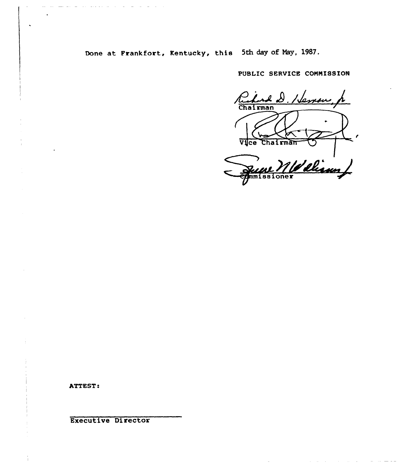Done at Frankfort, Kentucky, this 5th day of May, 1987.

PUBLIC SERVICE COMMISSION

Ruhard D. Heman Vice Chairma Weliamy mm 1 88

ATTEST:

**Executive Director**